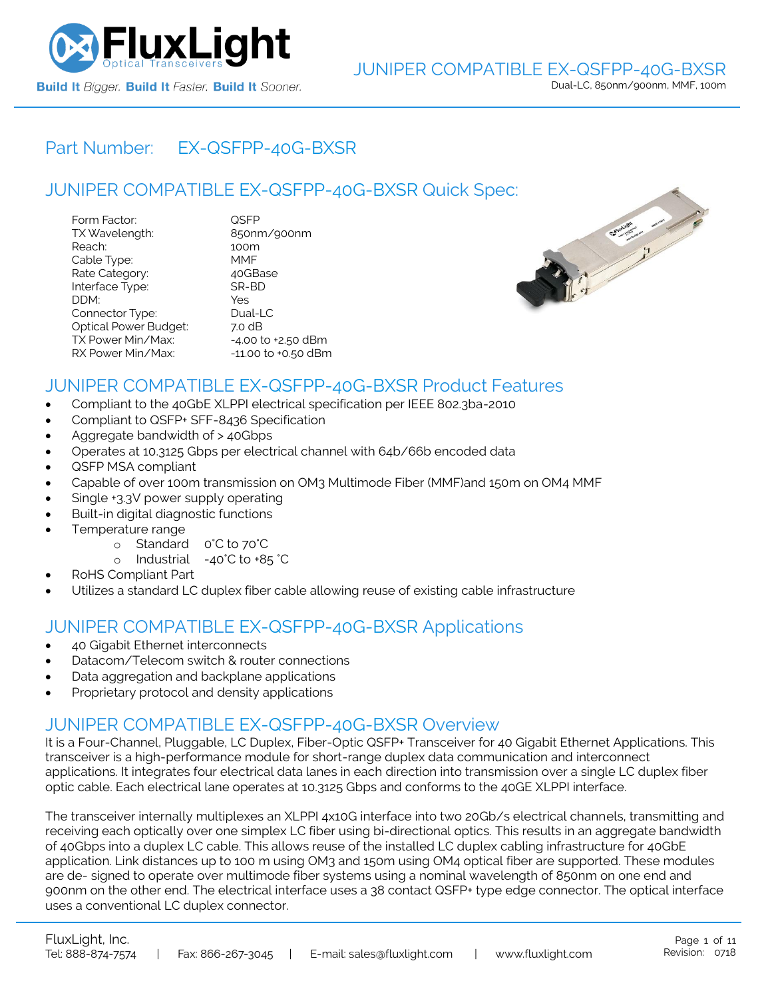

# Part Number: [EX-QSFPP-40G-BXSR](https://www.fluxlight.com/EX-QSFPP-40G-BXSR/)

# JUNIPER COMPATIBLE [EX-QSFPP-40G-BXSR](https://www.fluxlight.com/EX-QSFPP-40G-BXSR/) Quick Spec:

| Form Factor:                 | QSFP                   |
|------------------------------|------------------------|
| TX Wavelength:               | 850nm/900nm            |
| Reach:                       | 100m                   |
| Cable Type:                  | MMF                    |
| Rate Category:               | 40GBase                |
| Interface Type:              | SR-BD                  |
| DDM:                         | Yes                    |
| Connector Type:              | Dual-LC                |
| <b>Optical Power Budget:</b> | 7.0 dB                 |
| TX Power Min/Max:            | $-4.00$ to $+2.50$ dBm |
| RX Power Min/Max:            | -11.00 to +0.50 dBm    |



## JUNIPER COMPATIBLE [EX-QSFPP-40G-BXSR](https://www.fluxlight.com/EX-QSFPP-40G-BXSR/) Product Features

- Compliant to the 40GbE XLPPI electrical specification per IEEE 802.3ba-2010
- Compliant to QSFP+ SFF-8436 Specification
- Aggregate bandwidth of > 40Gbps
- Operates at 10.3125 Gbps per electrical channel with 64b/66b encoded data
- QSFP MSA compliant
- Capable of over 100m transmission on OM3 Multimode Fiber (MMF)and 150m on OM4 MMF
- Single +3.3V power supply operating
- Built-in digital diagnostic functions
- Temperature range
	- o Standard 0°C to 70°C
	- o Industrial -40°C to +85 °C
- RoHS Compliant Part
- Utilizes a standard LC duplex fiber cable allowing reuse of existing cable infrastructure

# JUNIPER COMPATIBLE [EX-QSFPP-40G-BXSR](https://www.fluxlight.com/EX-QSFPP-40G-BXSR/) Applications

- 40 Gigabit Ethernet interconnects
- Datacom/Telecom switch & router connections
- Data aggregation and backplane applications
- Proprietary protocol and density applications

## JUNIPER COMPATIBLE [EX-QSFPP-40G-BXSR](https://www.fluxlight.com/EX-QSFPP-40G-BXSR/) Overview

It is a Four-Channel, Pluggable, LC Duplex, Fiber-Optic QSFP+ Transceiver for 40 Gigabit Ethernet Applications. This transceiver is a high-performance module for short-range duplex data communication and interconnect applications. It integrates four electrical data lanes in each direction into transmission over a single LC duplex fiber optic cable. Each electrical lane operates at 10.3125 Gbps and conforms to the 40GE XLPPI interface.

The transceiver internally multiplexes an XLPPI 4x10G interface into two 20Gb/s electrical channels, transmitting and receiving each optically over one simplex LC fiber using bi-directional optics. This results in an aggregate bandwidth of 40Gbps into a duplex LC cable. This allows reuse of the installed LC duplex cabling infrastructure for 40GbE application. Link distances up to 100 m using OM3 and 150m using OM4 optical fiber are supported. These modules are de- signed to operate over multimode fiber systems using a nominal wavelength of 850nm on one end and 900nm on the other end. The electrical interface uses a 38 contact QSFP+ type edge connector. The optical interface uses a conventional LC duplex connector.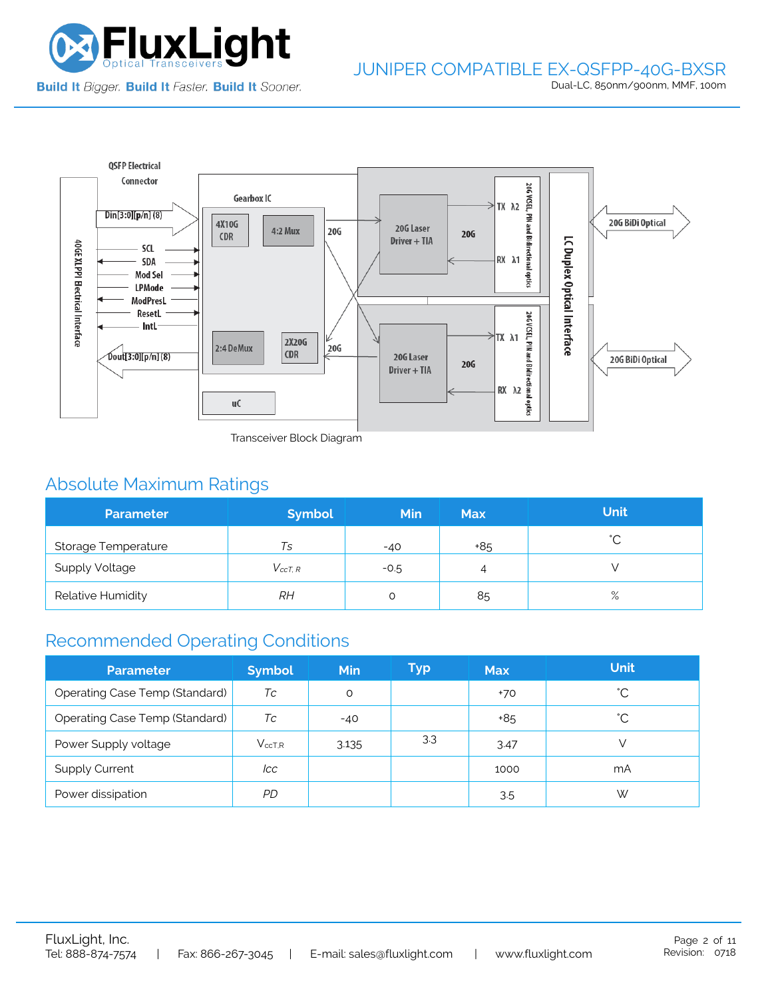



Transceiver Block Diagram

# Absolute Maximum Ratings

| <b>Parameter</b>      | <b>Symbol</b>  | <b>Min</b> | <b>Max</b> | <b>Unit</b> |
|-----------------------|----------------|------------|------------|-------------|
| Storage Temperature   | Ts             | $-40$      | +85        | $\hat{ }$   |
| <b>Supply Voltage</b> | $V_{c c T. R}$ | $-0.5$     | 4          |             |
| Relative Humidity     | RΗ             |            | 85         | $\%$        |

# Recommended Operating Conditions

| <b>Parameter</b>                      | <b>Symbol</b> | <b>Min</b> | Typ | <b>Max</b> | <b>Unit</b> |
|---------------------------------------|---------------|------------|-----|------------|-------------|
| Operating Case Temp (Standard)        | Тc            | O          |     | +70        | °С          |
| <b>Operating Case Temp (Standard)</b> | Tc            | $-40$      |     | +85        | °С          |
| Power Supply voltage                  | $V_{ccT.R}$   | 3.135      | 3.3 | 3.47       |             |
| <b>Supply Current</b>                 | lcc           |            |     | 1000       | mA          |
| Power dissipation                     | PD            |            |     | 3.5        | W           |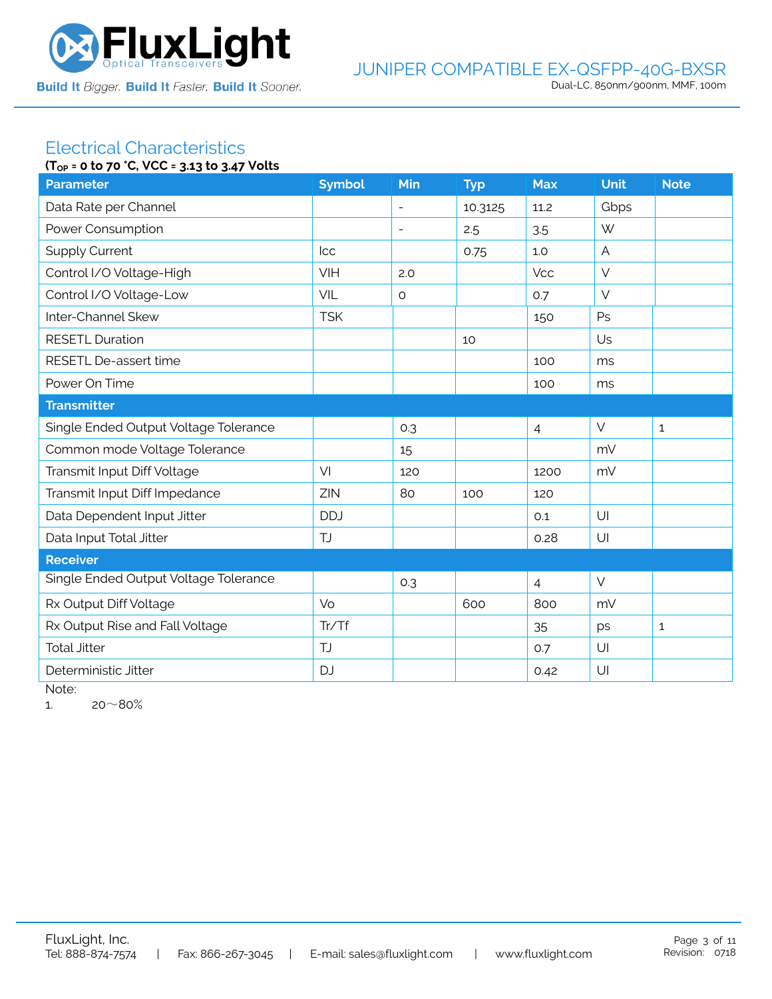

### JUNIPER COMPATIBLE EX-QSFPP-40G-BXSR Dual-LC, 850nm/900nm, MMF, 100m

#### Electrical Characteristics **(TOP = 0 to 70 °C, VCC = 3.13 to 3.47 Volts**

| $10P = 0$ to $70$ c, $0C = 3.13$ to $3.47$ votts<br><b>Parameter</b> |                          |         |                |            |              |  |  |  |
|----------------------------------------------------------------------|--------------------------|---------|----------------|------------|--------------|--|--|--|
|                                                                      |                          |         |                |            | <b>Note</b>  |  |  |  |
|                                                                      | $\blacksquare$           | 10.3125 | 11.2           | Gbps       |              |  |  |  |
|                                                                      | $\overline{\phantom{a}}$ | 2.5     | 3.5            | W          |              |  |  |  |
| <b>Icc</b>                                                           |                          | 0.75    | 1.0            | A          |              |  |  |  |
| VIH                                                                  | 2.0                      |         | <b>Vcc</b>     | $\vee$     |              |  |  |  |
| VIL                                                                  | $\circ$                  |         | 0.7            | $\vee$     |              |  |  |  |
| <b>TSK</b>                                                           |                          |         | 150            | Ps         |              |  |  |  |
|                                                                      |                          | 10      |                | Us         |              |  |  |  |
|                                                                      |                          |         | 100            | ms         |              |  |  |  |
|                                                                      |                          |         | 100            | ms         |              |  |  |  |
| <b>Transmitter</b>                                                   |                          |         |                |            |              |  |  |  |
|                                                                      | 0.3                      |         | $\overline{4}$ | $\vee$     | $\mathbf{1}$ |  |  |  |
|                                                                      | 15                       |         |                | mV         |              |  |  |  |
| VI                                                                   | 120                      |         | 1200           | mV         |              |  |  |  |
| ZIN                                                                  | 80                       | 100     | 120            |            |              |  |  |  |
| <b>DDJ</b>                                                           |                          |         | 0.1            | U          |              |  |  |  |
| TJ                                                                   |                          |         | 0.28           | U          |              |  |  |  |
|                                                                      |                          |         |                |            |              |  |  |  |
|                                                                      | 0.3                      |         | $\overline{4}$ | $\vee$     |              |  |  |  |
| Vo                                                                   |                          | 600     | 800            | mV         |              |  |  |  |
| Tr/Tf                                                                |                          |         | 35             | ps         | $\mathbf{1}$ |  |  |  |
| TJ                                                                   |                          |         | 0.7            | UI         |              |  |  |  |
| <b>DJ</b>                                                            |                          |         | 0.42           | U          |              |  |  |  |
|                                                                      | <b>Symbol</b>            | Min     | <b>Typ</b>     | <b>Max</b> | <b>Unit</b>  |  |  |  |

Note:

1.  $20~80%$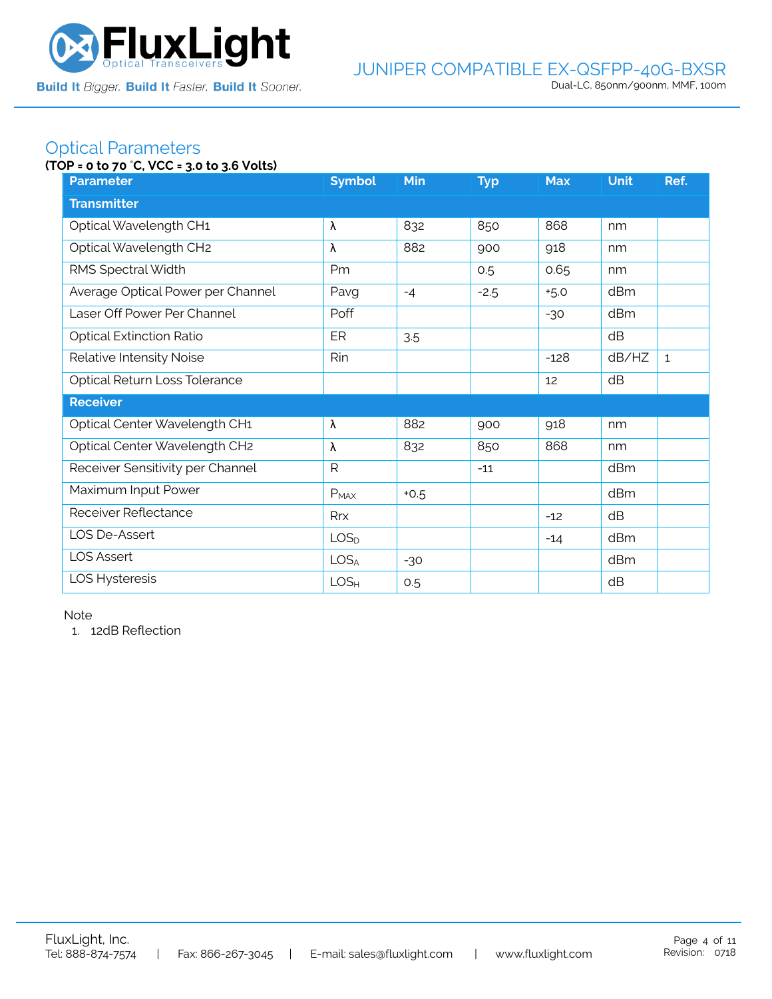

# Optical Parameters

### **(TOP = 0 to 70** °**C, VCC = 3.0 to 3.6 Volts)**

| <b>Parameter</b>                  | <b>Symbol</b>    | <b>Min</b> | <b>Typ</b> | <b>Max</b> | <b>Unit</b> | Ref.         |  |  |  |
|-----------------------------------|------------------|------------|------------|------------|-------------|--------------|--|--|--|
| <b>Transmitter</b>                |                  |            |            |            |             |              |  |  |  |
| Optical Wavelength CH1            | λ                | 832        | 850        | 868        | nm          |              |  |  |  |
| Optical Wavelength CH2            | λ                | 882        | 900        | 918        | nm          |              |  |  |  |
| RMS Spectral Width                | Pm               |            | 0.5        | 0.65       | nm          |              |  |  |  |
| Average Optical Power per Channel | Pavg             | $-4$       | $-2.5$     | $+5.0$     | dBm         |              |  |  |  |
| Laser Off Power Per Channel       | Poff             |            |            | $-30$      | dBm         |              |  |  |  |
| <b>Optical Extinction Ratio</b>   | ER               | 3.5        |            |            | dB          |              |  |  |  |
| Relative Intensity Noise          | Rin              |            |            | $-128$     | dB/HZ       | $\mathbf{1}$ |  |  |  |
| Optical Return Loss Tolerance     |                  |            |            | 12         | dB          |              |  |  |  |
| <b>Receiver</b>                   |                  |            |            |            |             |              |  |  |  |
| Optical Center Wavelength CH1     | λ                | 882        | 900        | 918        | nm          |              |  |  |  |
| Optical Center Wavelength CH2     | λ                | 832        | 850        | 868        | nm          |              |  |  |  |
| Receiver Sensitivity per Channel  | R                |            | $-11$      |            | dBm         |              |  |  |  |
| Maximum Input Power               | $P_{MAX}$        | $+0.5$     |            |            | dBm         |              |  |  |  |
| Receiver Reflectance              | Rrx              |            |            | $-12$      | dB          |              |  |  |  |
| LOS De-Assert                     | LOS <sub>D</sub> |            |            | $-14$      | dBm         |              |  |  |  |
| <b>LOS Assert</b>                 | LOS <sub>A</sub> | $-30$      |            |            | dBm         |              |  |  |  |
| LOS Hysteresis                    | LOS <sub>H</sub> | 0.5        |            |            | dB          |              |  |  |  |

Note

1. 12dB Reflection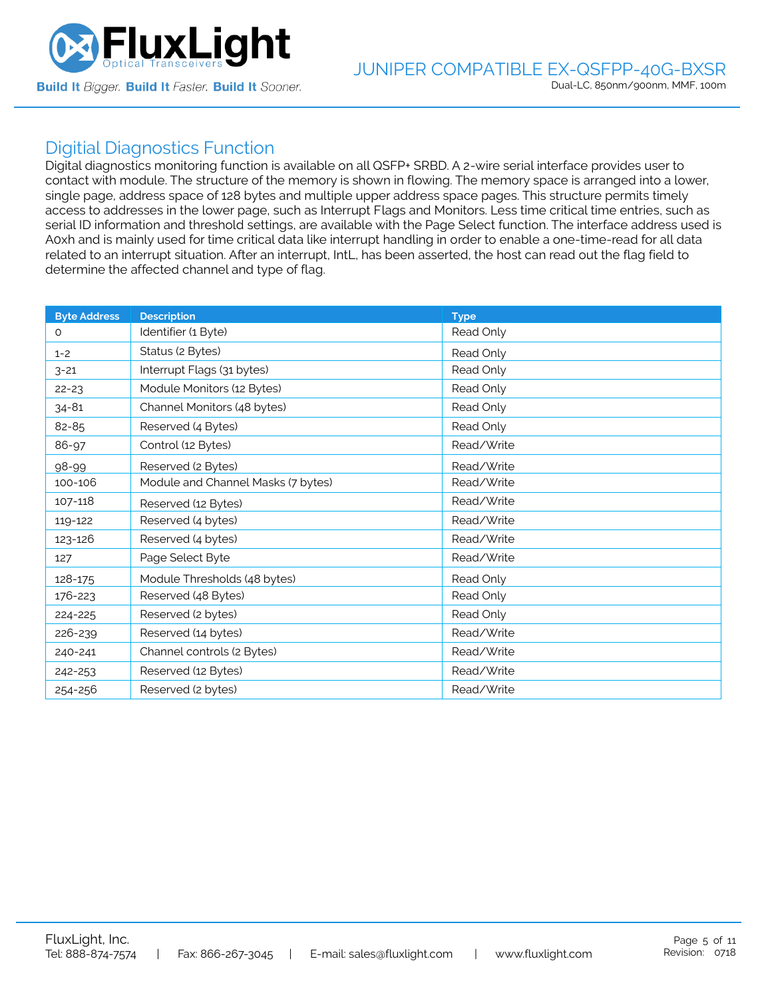

## Digitial Diagnostics Function

Digital diagnostics monitoring function is available on all QSFP+ SRBD. A 2-wire serial interface provides user to contact with module. The structure of the memory is shown in flowing. The memory space is arranged into a lower, single page, address space of 128 bytes and multiple upper address space pages. This structure permits timely access to addresses in the lower page, such as Interrupt Flags and Monitors. Less time critical time entries, such as serial ID information and threshold settings, are available with the Page Select function. The interface address used is A0xh and is mainly used for time critical data like interrupt handling in order to enable a one-time-read for all data related to an interrupt situation. After an interrupt, IntL, has been asserted, the host can read out the flag field to determine the affected channel and type of flag.

| <b>Byte Address</b> | <b>Description</b>                 | <b>Type</b> |
|---------------------|------------------------------------|-------------|
| 0                   | Identifier (1 Byte)                | Read Only   |
| $1 - 2$             | Status (2 Bytes)                   | Read Only   |
| $3 - 21$            | Interrupt Flags (31 bytes)         | Read Only   |
| $22 - 23$           | Module Monitors (12 Bytes)         | Read Only   |
| $34 - 81$           | Channel Monitors (48 bytes)        | Read Only   |
| 82-85               | Reserved (4 Bytes)                 | Read Only   |
| 86-97               | Control (12 Bytes)                 | Read/Write  |
| 98-99               | Reserved (2 Bytes)                 | Read/Write  |
| 100-106             | Module and Channel Masks (7 bytes) | Read/Write  |
| 107-118             | Reserved (12 Bytes)                | Read/Write  |
| 119-122             | Reserved (4 bytes)                 | Read/Write  |
| 123-126             | Reserved (4 bytes)                 | Read/Write  |
| 127                 | Page Select Byte                   | Read/Write  |
| 128-175             | Module Thresholds (48 bytes)       | Read Only   |
| 176-223             | Reserved (48 Bytes)                | Read Only   |
| 224-225             | Reserved (2 bytes)                 | Read Only   |
| 226-239             | Reserved (14 bytes)                | Read/Write  |
| 240-241             | Channel controls (2 Bytes)         | Read/Write  |
| 242-253             | Reserved (12 Bytes)                | Read/Write  |
| 254-256             | Reserved (2 bytes)                 | Read/Write  |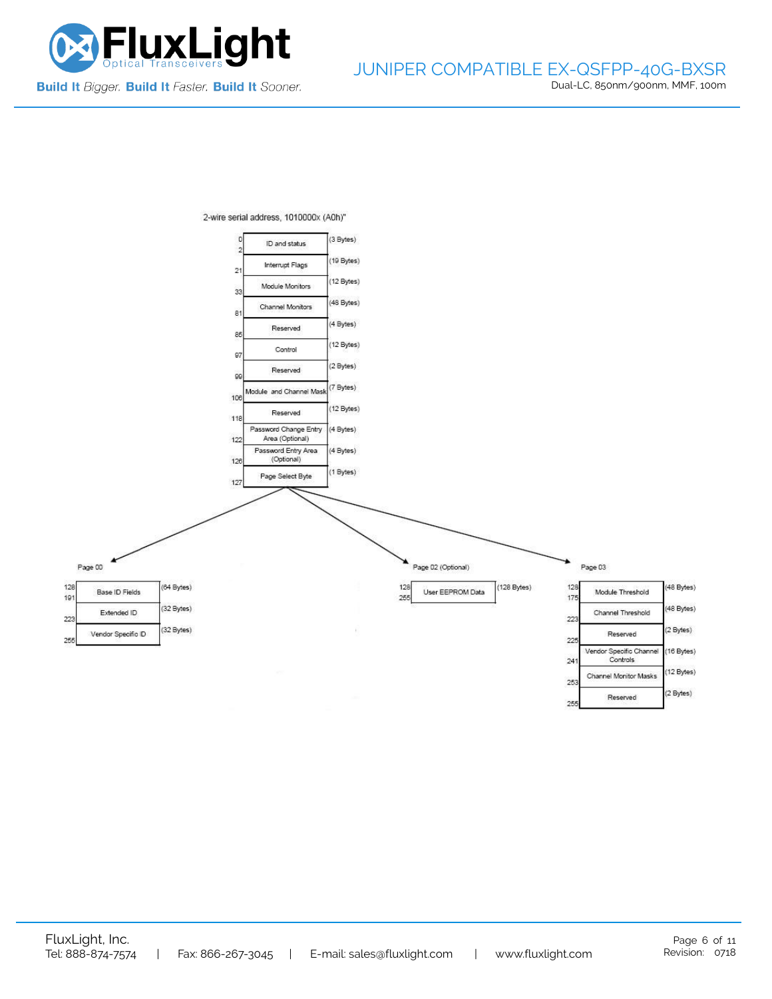



2-wire serial address, 1010000x (A0h)"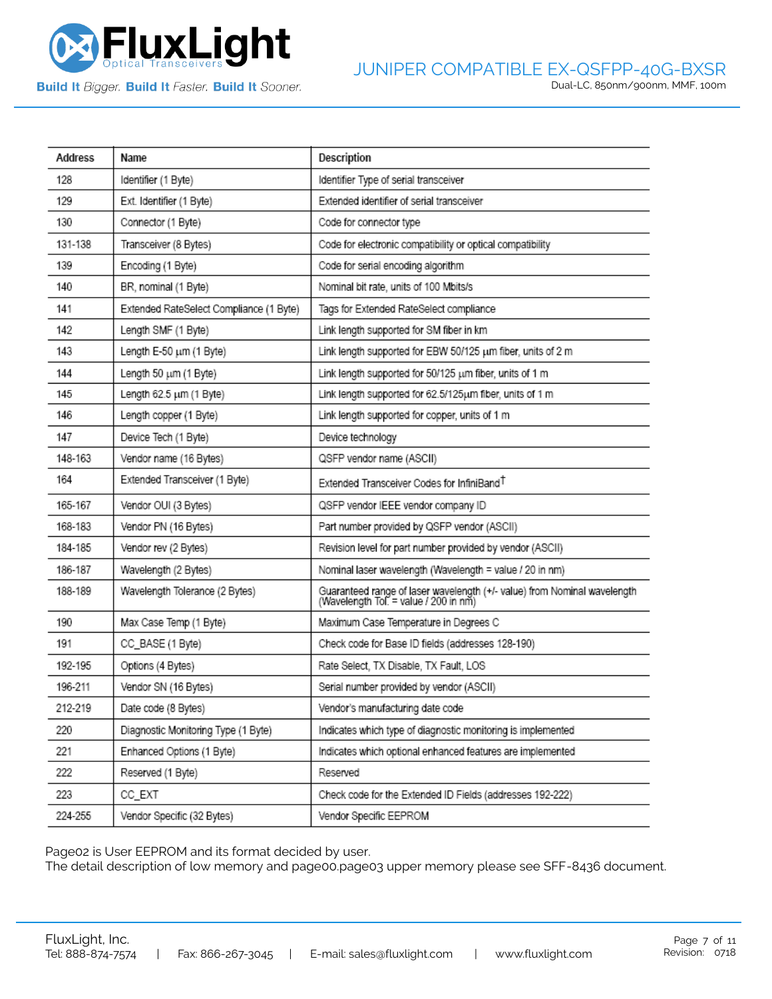

**Build It Bigger. Build It Faster. Build It Sooner.** 

| Address | Name                                    | Description                                                                                                       |
|---------|-----------------------------------------|-------------------------------------------------------------------------------------------------------------------|
| 128     | Identifier (1 Byte)                     | Identifier Type of serial transceiver                                                                             |
| 129     | Ext. Identifier (1 Byte)                | Extended identifier of serial transceiver                                                                         |
| 130     | Connector (1 Byte)                      | Code for connector type                                                                                           |
| 131-138 | Transceiver (8 Bytes)                   | Code for electronic compatibility or optical compatibility                                                        |
| 139     | Encoding (1 Byte)                       | Code for serial encoding algorithm                                                                                |
| 140     | BR, nominal (1 Byte)                    | Nominal bit rate, units of 100 Mbits/s                                                                            |
| 141     | Extended RateSelect Compliance (1 Byte) | Tags for Extended RateSelect compliance                                                                           |
| 142     | Length SMF (1 Byte)                     | Link length supported for SM fiber in km                                                                          |
| 143     | Length E-50 um (1 Byte)                 | Link length supported for EBW 50/125 um fiber, units of 2 m                                                       |
| 144     | Length 50 um (1 Byte)                   | Link length supported for 50/125 um fiber, units of 1 m                                                           |
| 145     | Length 62.5 um (1 Byte)                 | Link length supported for 62.5/125um fiber, units of 1 m                                                          |
| 146     | Length copper (1 Byte)                  | Link length supported for copper, units of 1 m                                                                    |
| 147     | Device Tech (1 Byte)                    | Device technology                                                                                                 |
| 148-163 | Vendor name (16 Bytes)                  | QSFP vendor name (ASCII)                                                                                          |
| 164     | Extended Transceiver (1 Byte)           | Extended Transceiver Codes for InfiniBand <sup>T</sup>                                                            |
| 165-167 | Vendor OUI (3 Bytes)                    | QSFP vendor IEEE vendor company ID                                                                                |
| 168-183 | Vendor PN (16 Bytes)                    | Part number provided by QSFP vendor (ASCII)                                                                       |
| 184-185 | Vendor rev (2 Bytes)                    | Revision level for part number provided by vendor (ASCII)                                                         |
| 186-187 | Wavelength (2 Bytes)                    | Nominal laser wavelength (Wavelength = value / 20 in nm)                                                          |
| 188-189 | Wavelength Tolerance (2 Bytes)          | Guaranteed range of laser wavelength (+/- value) from Nominal wavelength<br>(Wavelength Tol. = value / 200 in nm) |
| 190     | Max Case Temp (1 Byte)                  | Maximum Case Temperature in Degrees C                                                                             |
| 191     | CC_BASE (1 Byte)                        | Check code for Base ID fields (addresses 128-190)                                                                 |
| 192-195 | Options (4 Bytes)                       | Rate Select, TX Disable, TX Fault, LOS                                                                            |
| 196-211 | Vendor SN (16 Bytes)                    | Serial number provided by vendor (ASCII)                                                                          |
| 212-219 | Date code (8 Bytes)                     | Vendor's manufacturing date code                                                                                  |
| 220     | Diagnostic Monitoring Type (1 Byte)     | Indicates which type of diagnostic monitoring is implemented                                                      |
| 221     | Enhanced Options (1 Byte)               | Indicates which optional enhanced features are implemented                                                        |
| 222     | Reserved (1 Byte)                       | Reserved                                                                                                          |
| 223     | CC_EXT                                  | Check code for the Extended ID Fields (addresses 192-222)                                                         |
| 224-255 | Vendor Specific (32 Bytes)              | Vendor Specific EEPROM                                                                                            |

Page02 is User EEPROM and its format decided by user.

The detail description of low memory and page00.page03 upper memory please see SFF-8436 document.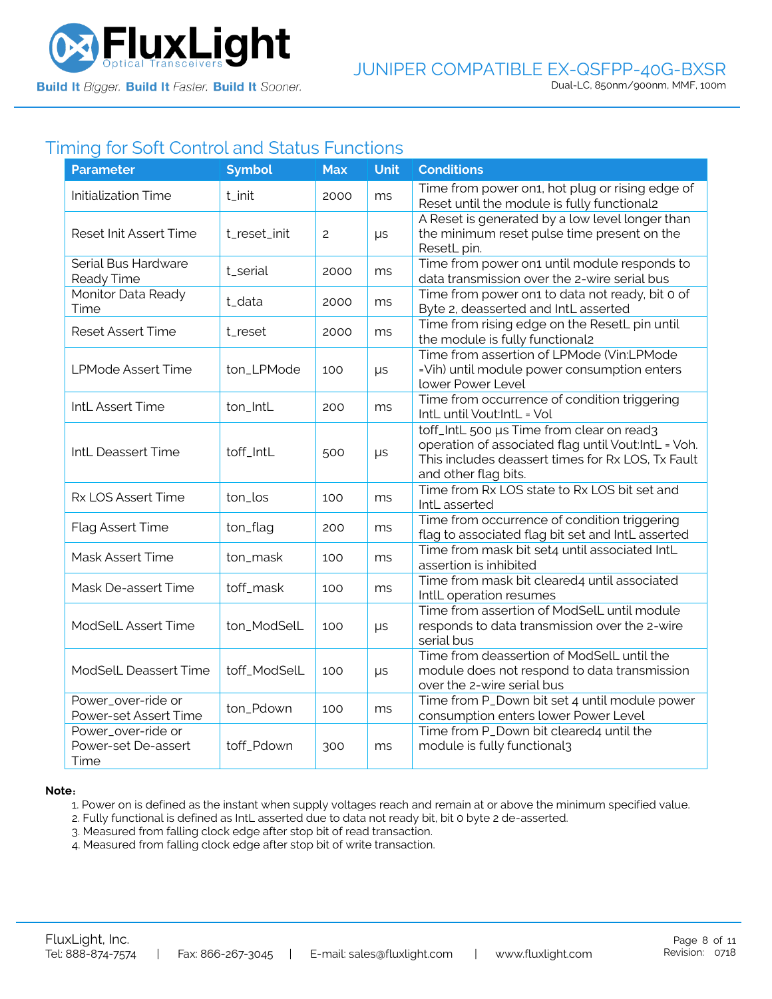

# Timing for Soft Control and Status Functions

| <b>Parameter</b>                                  | <b>Symbol</b> | <b>Max</b>     | <b>Unit</b> | <b>Conditions</b>                                                                                                                                                             |
|---------------------------------------------------|---------------|----------------|-------------|-------------------------------------------------------------------------------------------------------------------------------------------------------------------------------|
| <b>Initialization Time</b>                        | t_init        | 2000           | ms          | Time from power on1, hot plug or rising edge of<br>Reset until the module is fully functional2                                                                                |
| Reset Init Assert Time                            | t_reset_init  | $\overline{c}$ | $\mu s$     | A Reset is generated by a low level longer than<br>the minimum reset pulse time present on the<br>ResetL pin.                                                                 |
| Serial Bus Hardware<br>Ready Time                 | t_serial      | 2000           | ms          | Time from power on1 until module responds to<br>data transmission over the 2-wire serial bus                                                                                  |
| Monitor Data Ready<br>Time                        | t_data        | 2000           | ms          | Time from power on1 to data not ready, bit 0 of<br>Byte 2, deasserted and IntL asserted                                                                                       |
| <b>Reset Assert Time</b>                          | t_reset       | 2000           | ms          | Time from rising edge on the ResetL pin until<br>the module is fully functional2                                                                                              |
| <b>LPMode Assert Time</b>                         | ton_LPMode    | 100            | $\mu s$     | Time from assertion of LPMode (Vin:LPMode<br>=Vih) until module power consumption enters<br>lower Power Level                                                                 |
| IntL Assert Time                                  | ton_IntL      | 200            | ms          | Time from occurrence of condition triggering<br>IntL until Vout:IntL = Vol                                                                                                    |
| IntL Deassert Time                                | toff_IntL     | 500            | $\mu s$     | toff_IntL 500 µs Time from clear on read3<br>operation of associated flag until Vout:IntL = Voh.<br>This includes deassert times for Rx LOS, Tx Fault<br>and other flag bits. |
| Rx LOS Assert Time                                | ton_los       | 100            | ms          | Time from Rx LOS state to Rx LOS bit set and<br>IntL asserted                                                                                                                 |
| Flag Assert Time                                  | ton_flag      | 200            | ms          | Time from occurrence of condition triggering<br>flag to associated flag bit set and IntL asserted                                                                             |
| Mask Assert Time                                  | ton_mask      | 100            | ms          | Time from mask bit set4 until associated IntL<br>assertion is inhibited                                                                                                       |
| Mask De-assert Time                               | toff_mask     | 100            | ms          | Time from mask bit cleared4 until associated<br>IntlL operation resumes                                                                                                       |
| ModSelL Assert Time                               | ton_ModSelL   | 100            | μs          | Time from assertion of ModSelL until module<br>responds to data transmission over the 2-wire<br>serial bus                                                                    |
| <b>ModSelL Deassert Time</b>                      | toff_ModSelL  | 100            | $\mu s$     | Time from deassertion of ModSelL until the<br>module does not respond to data transmission<br>over the 2-wire serial bus                                                      |
| Power_over-ride or<br>Power-set Assert Time       | ton_Pdown     | 100            | ms          | Time from P_Down bit set 4 until module power<br>consumption enters lower Power Level                                                                                         |
| Power_over-ride or<br>Power-set De-assert<br>Time | toff_Pdown    | 300            | ms          | Time from P_Down bit cleared4 until the<br>module is fully functional3                                                                                                        |

#### **Note**:

1. Power on is defined as the instant when supply voltages reach and remain at or above the minimum specified value.

- 2. Fully functional is defined as IntL asserted due to data not ready bit, bit 0 byte 2 de-asserted.
- 3. Measured from falling clock edge after stop bit of read transaction.
- 4. Measured from falling clock edge after stop bit of write transaction.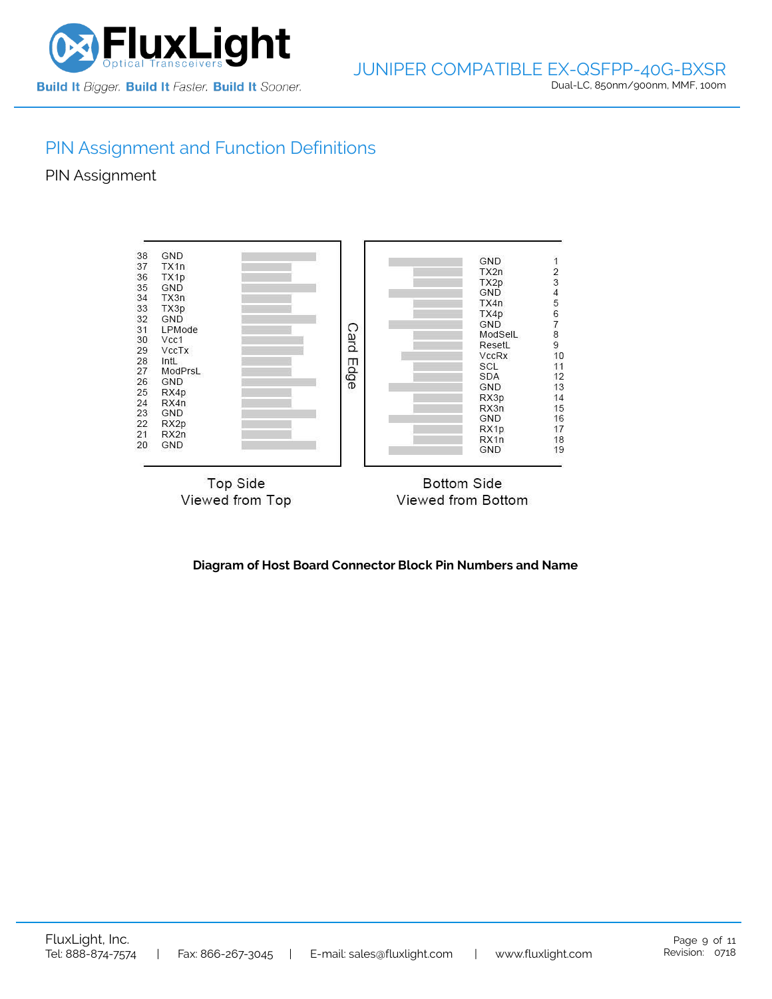

# PIN Assignment and Function Definitions

PIN Assignment



**Diagram of Host Board Connector Block Pin Numbers and Name**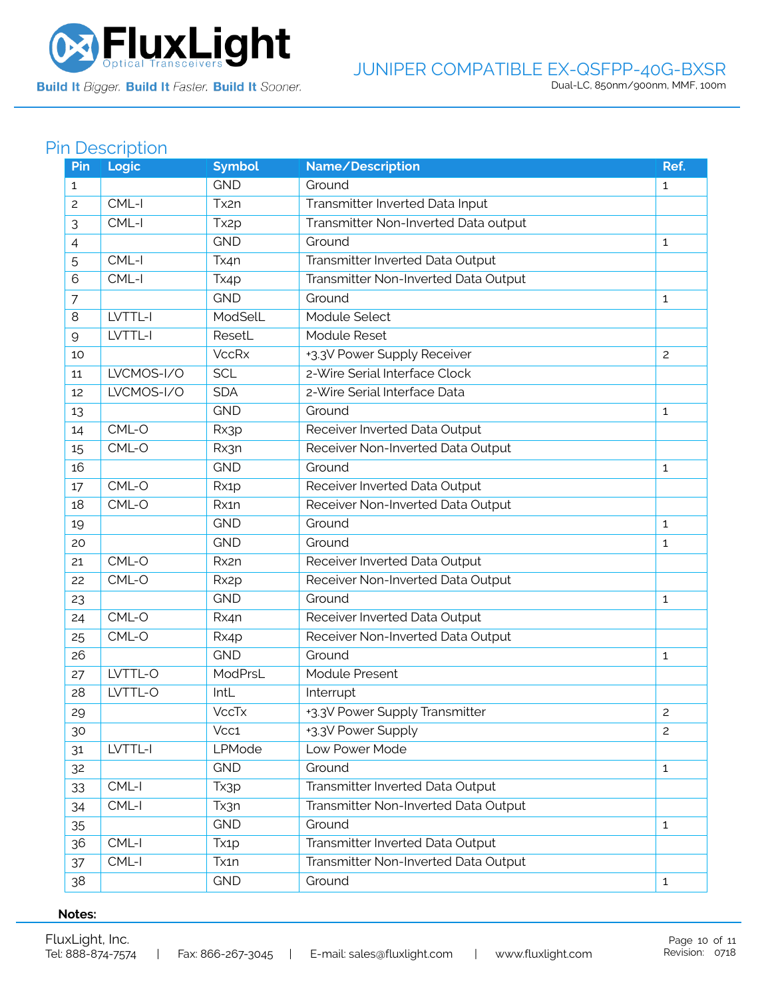

Build It Bigger. Build It Faster. Build It Sooner.

### JUNIPER COMPATIBLE EX-QSFPP-40G-BXSR Dual-LC, 850nm/900nm, MMF, 100m

# Pin Description

| Pin | Logic      | <b>Symbol</b>     | Name/Description                     | Ref.           |
|-----|------------|-------------------|--------------------------------------|----------------|
| 1   |            | <b>GND</b>        | Ground                               | $\mathbf{1}$   |
| 2   | CML-I      | Tx2n              | Transmitter Inverted Data Input      |                |
| 3   | CML-I      | Tx <sub>2p</sub>  | Transmitter Non-Inverted Data output |                |
| 4   |            | <b>GND</b>        | Ground                               | $\mathbf{1}$   |
| 5   | CML-I      | Tx4n              | Transmitter Inverted Data Output     |                |
| 6   | CML-I      | Tx4p              | Transmitter Non-Inverted Data Output |                |
| 7   |            | <b>GND</b>        | Ground                               | $\mathbf{1}$   |
| 8   | LVTTL-I    | ModSelL           | Module Select                        |                |
| 9   | LVTTL-I    | ResetL            | Module Reset                         |                |
| 10  |            | <b>VccRx</b>      | +3.3V Power Supply Receiver          | $\overline{c}$ |
| 11  | LVCMOS-I/O | <b>SCL</b>        | 2-Wire Serial Interface Clock        |                |
| 12  | LVCMOS-I/O | <b>SDA</b>        | 2-Wire Serial Interface Data         |                |
| 13  |            | <b>GND</b>        | Ground                               | 1              |
| 14  | CML-O      | Rx3p              | Receiver Inverted Data Output        |                |
| 15  | CML-O      | Rx3n              | Receiver Non-Inverted Data Output    |                |
| 16  |            | <b>GND</b>        | Ground                               | 1              |
| 17  | CML-O      | Rx1p              | Receiver Inverted Data Output        |                |
| 18  | CML-O      | Rx1n              | Receiver Non-Inverted Data Output    |                |
| 19  |            | <b>GND</b>        | Ground                               | $\mathbf{1}$   |
| 20  |            | <b>GND</b>        | Ground                               | 1              |
| 21  | CML-O      | Rx2n              | Receiver Inverted Data Output        |                |
| 22  | CML-O      | Rx <sub>2</sub> p | Receiver Non-Inverted Data Output    |                |
| 23  |            | <b>GND</b>        | Ground                               | 1              |
| 24  | CML-O      | Rx4n              | Receiver Inverted Data Output        |                |
| 25  | CML-O      | Rx4p              | Receiver Non-Inverted Data Output    |                |
| 26  |            | <b>GND</b>        | Ground                               | 1              |
| 27  | LVTTL-O    | ModPrsL           | Module Present                       |                |
| 28  | LVTTL-O    | IntL              | Interrupt                            |                |
| 29  |            | <b>VccTx</b>      | +3.3V Power Supply Transmitter       | $\mathbf{2}$   |
| 30  |            | Vcc1              | +3.3V Power Supply                   | $\overline{c}$ |
| 31  | LVTTL-I    | LPMode            | Low Power Mode                       |                |
| 32  |            | <b>GND</b>        | Ground                               | $\mathbf{1}$   |
| 33  | CML-I      | Tx3p              | Transmitter Inverted Data Output     |                |
| 34  | CML-I      | Tx3n              | Transmitter Non-Inverted Data Output |                |
| 35  |            | <b>GND</b>        | Ground                               | $\mathbf{1}$   |
| 36  | CML-I      | Tx <sub>1</sub> p | Transmitter Inverted Data Output     |                |
| 37  | $CML-I$    | Tx1n              | Transmitter Non-Inverted Data Output |                |
| 38  |            | <b>GND</b>        | Ground                               | $\mathbf{1}$   |

#### **Notes:**